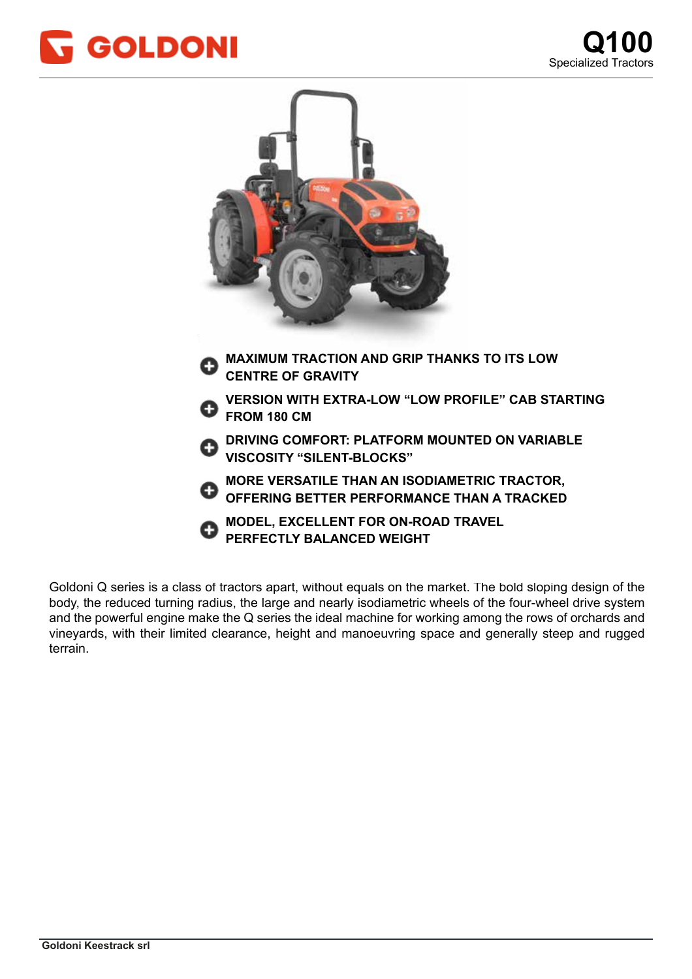



Goldoni Q series is a class of tractors apart, without equals on the market. The bold sloping design of the body, the reduced turning radius, the large and nearly isodiametric wheels of the four-wheel drive system and the powerful engine make the Q series the ideal machine for working among the rows of orchards and vineyards, with their limited clearance, height and manoeuvring space and generally steep and rugged struttura portante, caratterizzata da una distribuzione del peso al 50% sull'assale anteriore ed al 50% sull'assa terrain.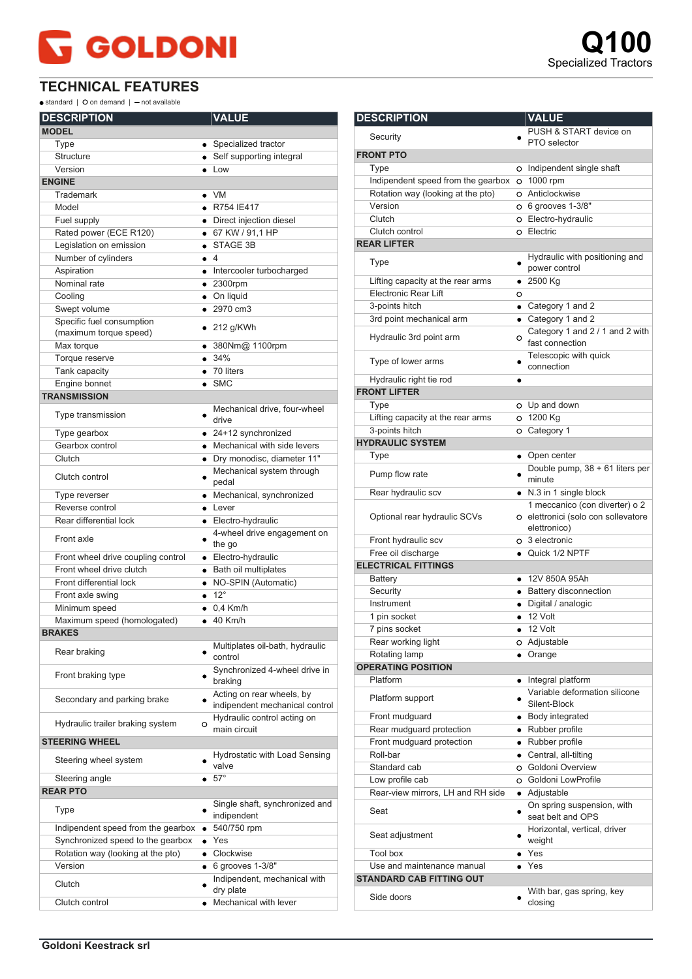## **GOLDONI**

## **TECHNICAL FEATURES**

 $\bullet$  standard |  $\bullet$  on demand |  $\bullet$  not available

| <b>DESCRIPTION</b>                                  | <b>VALUE</b>                                                |
|-----------------------------------------------------|-------------------------------------------------------------|
| <b>MODEL</b>                                        |                                                             |
| Type                                                | • Specialized tractor                                       |
| <b>Structure</b>                                    | • Self supporting integral                                  |
| Version                                             | $\bullet$ Low                                               |
| <b>ENGINE</b>                                       |                                                             |
| Trademark                                           | $\bullet$ VM                                                |
| Model                                               | • R754 IE417                                                |
| Fuel supply                                         | • Direct injection diesel                                   |
| Rated power (ECE R120)                              | • 67 KW / 91,1 HP                                           |
| Legislation on emission                             | STAGE 3B                                                    |
| Number of cylinders                                 | $\bullet$ 4                                                 |
| Aspiration                                          | • Intercooler turbocharged                                  |
| Nominal rate                                        | $\bullet$ 2300rpm                                           |
| Cooling                                             | • On liquid                                                 |
| Swept volume                                        | $\bullet$ 2970 cm3                                          |
| Specific fuel consumption<br>(maximum torque speed) | $\bullet$ 212 g/KWh                                         |
| Max torque                                          | ● 380Nm@ 1100rpm                                            |
| Torque reserve                                      | • 34%                                                       |
| Tank capacity                                       | $\bullet$ 70 liters                                         |
| Engine bonnet                                       | $\bullet$ SMC                                               |
| <b>TRANSMISSION</b>                                 |                                                             |
| Type transmission                                   | Mechanical drive, four-wheel<br>$\bullet$<br>drive          |
| Type gearbox                                        | $\bullet$ 24+12 synchronized                                |
| Gearbox control                                     | • Mechanical with side levers                               |
| Clutch                                              | · Dry monodisc, diameter 11"                                |
| Clutch control                                      | Mechanical system through<br>pedal                          |
| Type reverser                                       | • Mechanical, synchronized                                  |
| Reverse control                                     | $\bullet$ Lever                                             |
| Rear differential lock                              | • Electro-hydraulic                                         |
| Front axle                                          | 4-wheel drive engagement on<br>the go                       |
| Front wheel drive coupling control                  | • Electro-hydraulic                                         |
| Front wheel drive clutch                            | • Bath oil multiplates                                      |
| Front differential lock                             | • NO-SPIN (Automatic)                                       |
| Front axle swing                                    | $\bullet$ 12°                                               |
| Minimum speed                                       | $\bullet$ 0.4 Km/h                                          |
| Maximum speed (homologated)                         | $\bullet$ 40 Km/h                                           |
| <b>BRAKES</b>                                       |                                                             |
| Rear braking                                        | Multiplates oil-bath, hydraulic<br>control                  |
| Front braking type                                  | Synchronized 4-wheel drive in<br>braking                    |
| Secondary and parking brake                         | Acting on rear wheels, by<br>indipendent mechanical control |
| Hydraulic trailer braking system                    | Hydraulic control acting on<br>$\circ$<br>main circuit      |
| <b>STEERING WHEEL</b>                               |                                                             |
| Steering wheel system                               | Hydrostatic with Load Sensing<br>valve                      |
| Steering angle                                      | $\bullet$ 57°                                               |
| <b>REAR PTO</b>                                     |                                                             |
| Type                                                | Single shaft, synchronized and<br>indipendent               |
| Indipendent speed from the gearbox                  | 540/750 rpm                                                 |
| Synchronized speed to the gearbox                   | $\bullet$ Yes                                               |
| Rotation way (looking at the pto)                   | • Clockwise                                                 |
| Version                                             | $\bullet$ 6 grooves 1-3/8"                                  |
| Clutch                                              | Indipendent, mechanical with<br>dry plate                   |
| Clutch control                                      | Mechanical with lever<br>$\bullet$                          |

| <b>DESCRIPTION</b>                   |           | <b>VALUE</b>                                                                          |
|--------------------------------------|-----------|---------------------------------------------------------------------------------------|
| Security                             |           | PUSH & START device on                                                                |
|                                      |           | PTO selector                                                                          |
| <b>FRONT PTO</b>                     |           |                                                                                       |
| Type                                 |           | O Indipendent single shaft                                                            |
| Indipendent speed from the gearbox   |           | O 1000 rpm                                                                            |
| Rotation way (looking at the pto)    |           | O Anticlockwise                                                                       |
| Version                              |           | O 6 grooves 1-3/8"                                                                    |
| Clutch                               |           | O Electro-hydraulic                                                                   |
| Clutch control<br><b>REAR LIFTER</b> |           | o Electric                                                                            |
|                                      |           | Hydraulic with positioning and                                                        |
| Type                                 |           | power control                                                                         |
| Lifting capacity at the rear arms    |           | $• 2500$ Kg                                                                           |
| <b>Electronic Rear Lift</b>          | O         |                                                                                       |
| 3-points hitch                       |           | • Category 1 and 2                                                                    |
| 3rd point mechanical arm             |           | • Category 1 and 2                                                                    |
| Hydraulic 3rd point arm              | O         | Category 1 and 2 / 1 and 2 with<br>fast connection                                    |
| Type of lower arms                   |           | Telescopic with quick<br>connection                                                   |
| Hydraulic right tie rod              |           |                                                                                       |
| <b>FRONT LIFTER</b>                  |           |                                                                                       |
| Type                                 |           | o Up and down                                                                         |
| Lifting capacity at the rear arms    |           | O 1200 Kg                                                                             |
| 3-points hitch                       |           | O Category 1                                                                          |
| <b>HYDRAULIC SYSTEM</b>              |           |                                                                                       |
| Type                                 |           | • Open center                                                                         |
| Pump flow rate                       |           | Double pump, 38 + 61 liters per<br>minute                                             |
| Rear hydraulic scv                   |           | • N.3 in 1 single block                                                               |
| Optional rear hydraulic SCVs         |           | 1 meccanico (con diverter) o 2<br>O elettronici (solo con sollevatore<br>elettronico) |
| Front hydraulic scv                  |           | o 3 electronic                                                                        |
| Free oil discharge                   |           | • Quick 1/2 NPTF                                                                      |
| <b>ELECTRICAL FITTINGS</b>           |           |                                                                                       |
| Battery                              |           | ● 12V 850A 95Ah                                                                       |
| Security                             |           | • Battery disconnection                                                               |
| Instrument                           |           | · Digital / analogic                                                                  |
| 1 pin socket                         |           | $\bullet$ 12 Volt                                                                     |
| 7 pins socket                        |           | 12 Volt                                                                               |
| Rear working light                   |           | O Adjustable                                                                          |
| Rotating lamp                        |           | • Orange                                                                              |
| <b>OPERATING POSITION</b>            |           |                                                                                       |
| Platform                             |           | Integral platform                                                                     |
| Platform support                     |           | Variable deformation silicone<br>Silent-Block                                         |
| Front mudguard                       |           | • Body integrated                                                                     |
| Rear mudguard protection             |           | • Rubber profile                                                                      |
| Front mudguard protection            |           | • Rubber profile                                                                      |
| Roll-bar                             | $\bullet$ | Central, all-tilting                                                                  |
| Standard cab                         |           | O Goldoni Overview                                                                    |
| Low profile cab                      |           | O Goldoni LowProfile                                                                  |
| Rear-view mirrors, LH and RH side    |           | • Adjustable                                                                          |
| Seat                                 |           | On spring suspension, with<br>seat belt and OPS                                       |
| Seat adjustment                      |           | Horizontal, vertical, driver<br>weight                                                |
| <b>Tool box</b>                      |           | $\bullet$ Yes                                                                         |
| Use and maintenance manual           |           | $\bullet$ Yes                                                                         |
| <b>STANDARD CAB FITTING OUT</b>      |           |                                                                                       |
| Side doors                           |           | With bar, gas spring, key<br>closing                                                  |